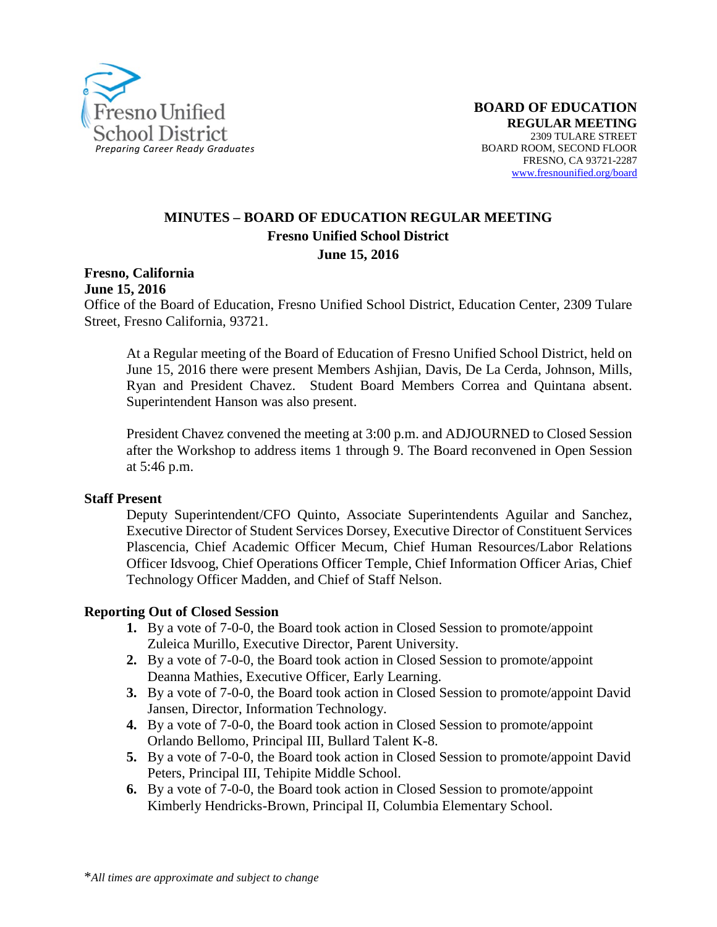

## **MINUTES – BOARD OF EDUCATION REGULAR MEETING Fresno Unified School District June 15, 2016**

**Fresno, California**

**June 15, 2016**

Office of the Board of Education, Fresno Unified School District, Education Center, 2309 Tulare Street, Fresno California, 93721.

At a Regular meeting of the Board of Education of Fresno Unified School District, held on June 15, 2016 there were present Members Ashjian, Davis, De La Cerda, Johnson, Mills, Ryan and President Chavez. Student Board Members Correa and Quintana absent. Superintendent Hanson was also present.

President Chavez convened the meeting at 3:00 p.m. and ADJOURNED to Closed Session after the Workshop to address items 1 through 9. The Board reconvened in Open Session at 5:46 p.m.

#### **Staff Present**

Deputy Superintendent/CFO Quinto, Associate Superintendents Aguilar and Sanchez, Executive Director of Student Services Dorsey, Executive Director of Constituent Services Plascencia, Chief Academic Officer Mecum, Chief Human Resources/Labor Relations Officer Idsvoog, Chief Operations Officer Temple, Chief Information Officer Arias, Chief Technology Officer Madden, and Chief of Staff Nelson.

#### **Reporting Out of Closed Session**

- **1.** By a vote of 7-0-0, the Board took action in Closed Session to promote/appoint Zuleica Murillo, Executive Director, Parent University.
- **2.** By a vote of 7-0-0, the Board took action in Closed Session to promote/appoint Deanna Mathies, Executive Officer, Early Learning.
- **3.** By a vote of 7-0-0, the Board took action in Closed Session to promote/appoint David Jansen, Director, Information Technology.
- **4.** By a vote of 7-0-0, the Board took action in Closed Session to promote/appoint Orlando Bellomo, Principal III, Bullard Talent K-8.
- **5.** By a vote of 7-0-0, the Board took action in Closed Session to promote/appoint David Peters, Principal III, Tehipite Middle School.
- **6.** By a vote of 7-0-0, the Board took action in Closed Session to promote/appoint Kimberly Hendricks-Brown, Principal II, Columbia Elementary School.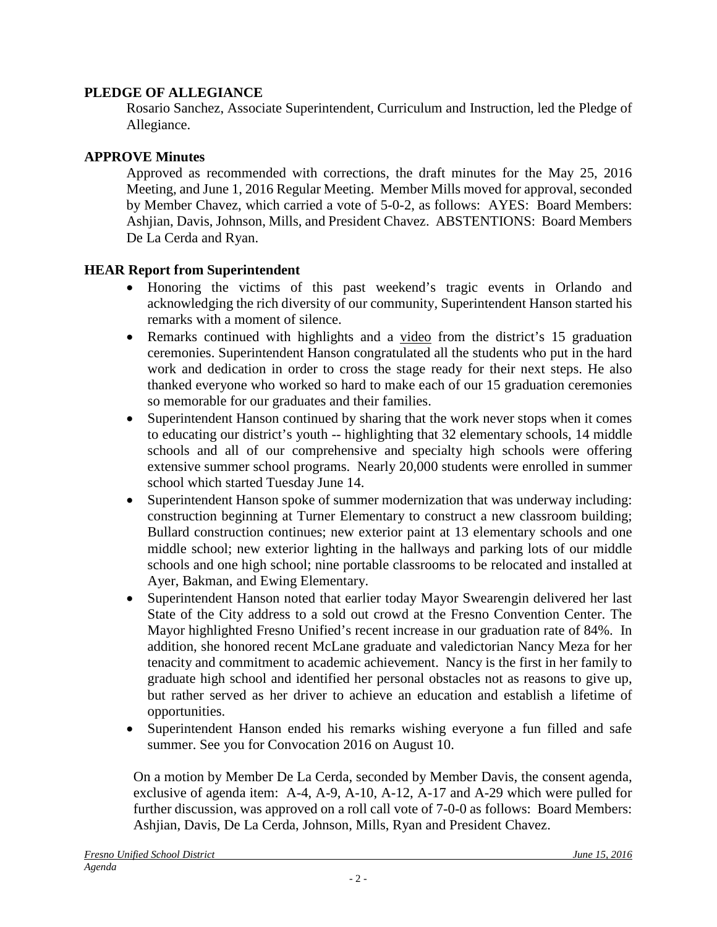## **PLEDGE OF ALLEGIANCE**

Rosario Sanchez, Associate Superintendent, Curriculum and Instruction, led the Pledge of Allegiance.

### **APPROVE Minutes**

Approved as recommended with corrections, the draft minutes for the May 25, 2016 Meeting, and June 1, 2016 Regular Meeting. Member Mills moved for approval, seconded by Member Chavez, which carried a vote of 5-0-2, as follows: AYES: Board Members: Ashjian, Davis, Johnson, Mills, and President Chavez. ABSTENTIONS: Board Members De La Cerda and Ryan.

### **HEAR Report from Superintendent**

- Honoring the victims of this past weekend's tragic events in Orlando and acknowledging the rich diversity of our community, Superintendent Hanson started his remarks with a moment of silence.
- Remarks continued with highlights and a [video](https://vimeo.com/170051005/0338774352) from the district's 15 graduation ceremonies. Superintendent Hanson congratulated all the students who put in the hard work and dedication in order to cross the stage ready for their next steps. He also thanked everyone who worked so hard to make each of our 15 graduation ceremonies so memorable for our graduates and their families.
- Superintendent Hanson continued by sharing that the work never stops when it comes to educating our district's youth -- highlighting that 32 elementary schools, 14 middle schools and all of our comprehensive and specialty high schools were offering extensive summer school programs. Nearly 20,000 students were enrolled in summer school which started Tuesday June 14.
- Superintendent Hanson spoke of summer modernization that was underway including: construction beginning at Turner Elementary to construct a new classroom building; Bullard construction continues; new exterior paint at 13 elementary schools and one middle school; new exterior lighting in the hallways and parking lots of our middle schools and one high school; nine portable classrooms to be relocated and installed at Ayer, Bakman, and Ewing Elementary.
- Superintendent Hanson noted that earlier today Mayor Swearengin delivered her last State of the City address to a sold out crowd at the Fresno Convention Center. The Mayor highlighted Fresno Unified's recent increase in our graduation rate of 84%. In addition, she honored recent McLane graduate and valedictorian Nancy Meza for her tenacity and commitment to academic achievement. Nancy is the first in her family to graduate high school and identified her personal obstacles not as reasons to give up, but rather served as her driver to achieve an education and establish a lifetime of opportunities.
- Superintendent Hanson ended his remarks wishing everyone a fun filled and safe summer. See you for Convocation 2016 on August 10.

On a motion by Member De La Cerda, seconded by Member Davis, the consent agenda, exclusive of agenda item: A-4, A-9, A-10, A-12, A-17 and A-29 which were pulled for further discussion, was approved on a roll call vote of 7-0-0 as follows: Board Members: Ashjian, Davis, De La Cerda, Johnson, Mills, Ryan and President Chavez.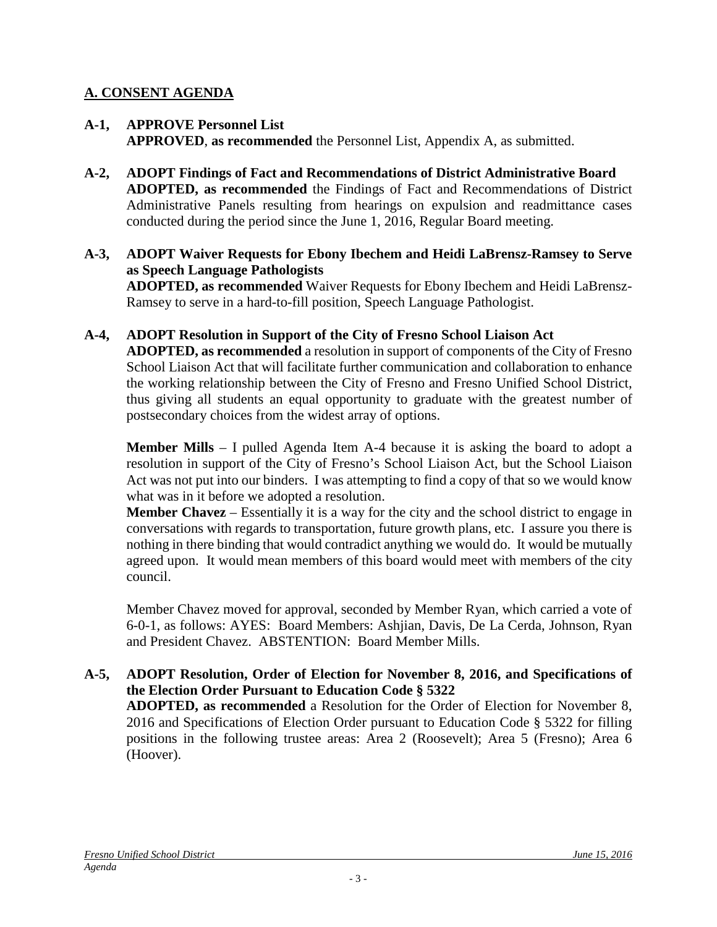## **A. CONSENT AGENDA**

- **A-1, APPROVE Personnel List APPROVED**, **as recommended** the Personnel List, Appendix A, as submitted.
- **A-2, ADOPT Findings of Fact and Recommendations of District Administrative Board ADOPTED, as recommended** the Findings of Fact and Recommendations of District Administrative Panels resulting from hearings on expulsion and readmittance cases conducted during the period since the June 1, 2016, Regular Board meeting.
- **A-3, ADOPT Waiver Requests for Ebony Ibechem and Heidi LaBrensz-Ramsey to Serve as Speech Language Pathologists ADOPTED, as recommended** Waiver Requests for Ebony Ibechem and Heidi LaBrensz-Ramsey to serve in a hard-to-fill position, Speech Language Pathologist.

### **A-4, ADOPT Resolution in Support of the City of Fresno School Liaison Act**

**ADOPTED, as recommended** a resolution in support of components of the City of Fresno School Liaison Act that will facilitate further communication and collaboration to enhance the working relationship between the City of Fresno and Fresno Unified School District, thus giving all students an equal opportunity to graduate with the greatest number of postsecondary choices from the widest array of options.

**Member Mills** – I pulled Agenda Item A-4 because it is asking the board to adopt a resolution in support of the City of Fresno's School Liaison Act, but the School Liaison Act was not put into our binders. I was attempting to find a copy of that so we would know what was in it before we adopted a resolution.

**Member Chavez** – Essentially it is a way for the city and the school district to engage in conversations with regards to transportation, future growth plans, etc. I assure you there is nothing in there binding that would contradict anything we would do. It would be mutually agreed upon. It would mean members of this board would meet with members of the city council.

Member Chavez moved for approval, seconded by Member Ryan, which carried a vote of 6-0-1, as follows: AYES: Board Members: Ashjian, Davis, De La Cerda, Johnson, Ryan and President Chavez. ABSTENTION: Board Member Mills.

### **A-5, ADOPT Resolution, Order of Election for November 8, 2016, and Specifications of the Election Order Pursuant to Education Code § 5322**

**ADOPTED, as recommended** a Resolution for the Order of Election for November 8, 2016 and Specifications of Election Order pursuant to Education Code § 5322 for filling positions in the following trustee areas: Area 2 (Roosevelt); Area 5 (Fresno); Area 6 (Hoover).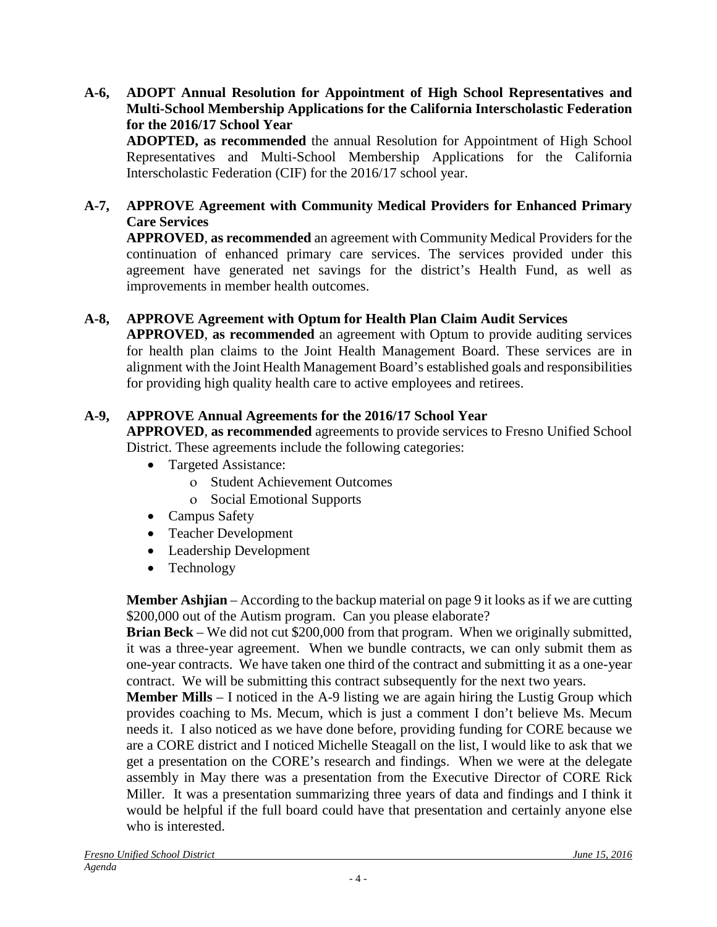### **A-6, ADOPT Annual Resolution for Appointment of High School Representatives and Multi-School Membership Applications for the California Interscholastic Federation for the 2016/17 School Year**

**ADOPTED, as recommended** the annual Resolution for Appointment of High School Representatives and Multi-School Membership Applications for the California Interscholastic Federation (CIF) for the 2016/17 school year.

### **A-7, APPROVE Agreement with Community Medical Providers for Enhanced Primary Care Services**

**APPROVED**, **as recommended** an agreement with Community Medical Providers for the continuation of enhanced primary care services. The services provided under this agreement have generated net savings for the district's Health Fund, as well as improvements in member health outcomes.

## **A-8, APPROVE Agreement with Optum for Health Plan Claim Audit Services**

**APPROVED**, **as recommended** an agreement with Optum to provide auditing services for health plan claims to the Joint Health Management Board. These services are in alignment with the Joint Health Management Board's established goals and responsibilities for providing high quality health care to active employees and retirees.

### **A-9, APPROVE Annual Agreements for the 2016/17 School Year**

**APPROVED**, **as recommended** agreements to provide services to Fresno Unified School District. These agreements include the following categories:

- Targeted Assistance:
	- ο Student Achievement Outcomes
	- ο Social Emotional Supports
- Campus Safety
- Teacher Development
- Leadership Development
- Technology

**Member Ashjian** – According to the backup material on page 9 it looks as if we are cutting \$200,000 out of the Autism program. Can you please elaborate?

**Brian Beck** – We did not cut \$200,000 from that program. When we originally submitted, it was a three-year agreement. When we bundle contracts, we can only submit them as one-year contracts. We have taken one third of the contract and submitting it as a one-year contract. We will be submitting this contract subsequently for the next two years.

**Member Mills** – I noticed in the A-9 listing we are again hiring the Lustig Group which provides coaching to Ms. Mecum, which is just a comment I don't believe Ms. Mecum needs it. I also noticed as we have done before, providing funding for CORE because we are a CORE district and I noticed Michelle Steagall on the list, I would like to ask that we get a presentation on the CORE's research and findings. When we were at the delegate assembly in May there was a presentation from the Executive Director of CORE Rick Miller. It was a presentation summarizing three years of data and findings and I think it would be helpful if the full board could have that presentation and certainly anyone else who is interested.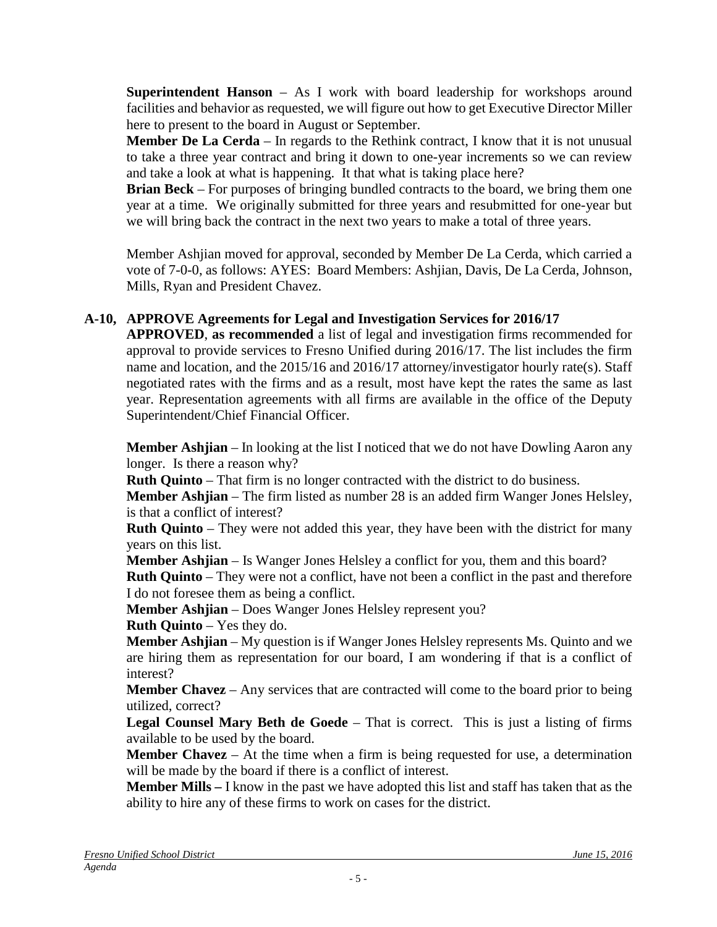**Superintendent Hanson** – As I work with board leadership for workshops around facilities and behavior as requested, we will figure out how to get Executive Director Miller here to present to the board in August or September.

**Member De La Cerda** – In regards to the Rethink contract, I know that it is not unusual to take a three year contract and bring it down to one-year increments so we can review and take a look at what is happening. It that what is taking place here?

**Brian Beck** – For purposes of bringing bundled contracts to the board, we bring them one year at a time. We originally submitted for three years and resubmitted for one-year but we will bring back the contract in the next two years to make a total of three years.

Member Ashjian moved for approval, seconded by Member De La Cerda, which carried a vote of 7-0-0, as follows: AYES: Board Members: Ashjian, Davis, De La Cerda, Johnson, Mills, Ryan and President Chavez.

# **A-10, APPROVE Agreements for Legal and Investigation Services for 2016/17**

**APPROVED**, **as recommended** a list of legal and investigation firms recommended for approval to provide services to Fresno Unified during 2016/17. The list includes the firm name and location, and the 2015/16 and 2016/17 attorney/investigator hourly rate(s). Staff negotiated rates with the firms and as a result, most have kept the rates the same as last year. Representation agreements with all firms are available in the office of the Deputy Superintendent/Chief Financial Officer.

**Member Ashjian** – In looking at the list I noticed that we do not have Dowling Aaron any longer. Is there a reason why?

**Ruth Quinto** – That firm is no longer contracted with the district to do business.

**Member Ashjian** – The firm listed as number 28 is an added firm Wanger Jones Helsley, is that a conflict of interest?

**Ruth Quinto** – They were not added this year, they have been with the district for many years on this list.

**Member Ashjian** – Is Wanger Jones Helsley a conflict for you, them and this board?

**Ruth Quinto** – They were not a conflict, have not been a conflict in the past and therefore I do not foresee them as being a conflict.

**Member Ashjian** – Does Wanger Jones Helsley represent you?

**Ruth Quinto** – Yes they do.

**Member Ashjian** – My question is if Wanger Jones Helsley represents Ms. Quinto and we are hiring them as representation for our board, I am wondering if that is a conflict of interest?

**Member Chavez** – Any services that are contracted will come to the board prior to being utilized, correct?

**Legal Counsel Mary Beth de Goede** – That is correct. This is just a listing of firms available to be used by the board.

**Member Chavez** – At the time when a firm is being requested for use, a determination will be made by the board if there is a conflict of interest.

**Member Mills –** I know in the past we have adopted this list and staff has taken that as the ability to hire any of these firms to work on cases for the district.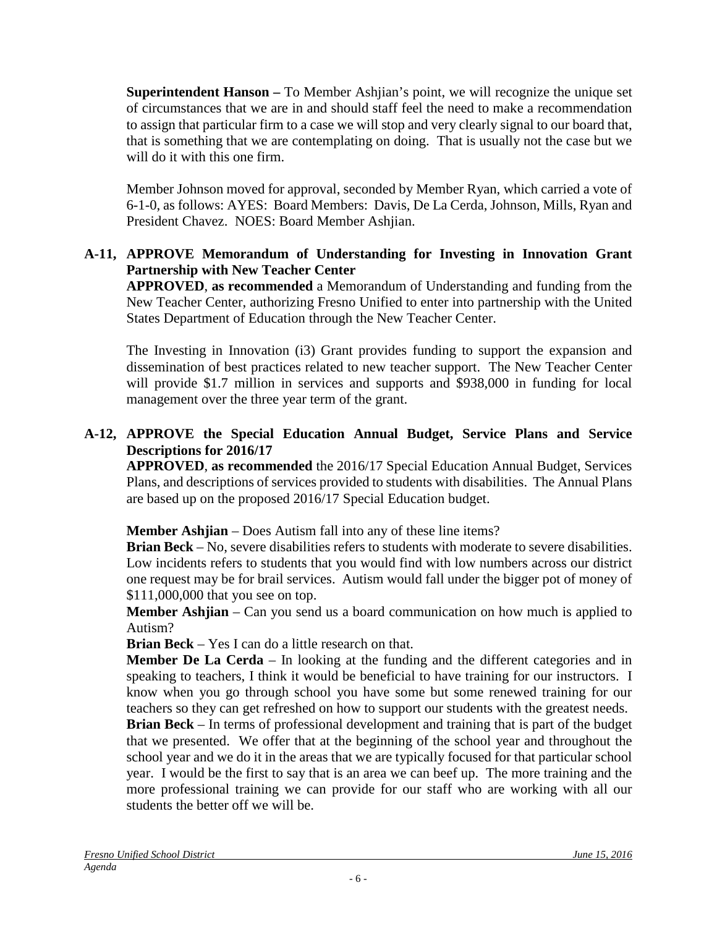**Superintendent Hanson –** To Member Ashjian's point, we will recognize the unique set of circumstances that we are in and should staff feel the need to make a recommendation to assign that particular firm to a case we will stop and very clearly signal to our board that, that is something that we are contemplating on doing. That is usually not the case but we will do it with this one firm.

Member Johnson moved for approval, seconded by Member Ryan, which carried a vote of 6-1-0, as follows: AYES: Board Members: Davis, De La Cerda, Johnson, Mills, Ryan and President Chavez. NOES: Board Member Ashjian.

## **A-11, APPROVE Memorandum of Understanding for Investing in Innovation Grant Partnership with New Teacher Center**

**APPROVED**, **as recommended** a Memorandum of Understanding and funding from the New Teacher Center, authorizing Fresno Unified to enter into partnership with the United States Department of Education through the New Teacher Center.

The Investing in Innovation (i3) Grant provides funding to support the expansion and dissemination of best practices related to new teacher support. The New Teacher Center will provide \$1.7 million in services and supports and \$938,000 in funding for local management over the three year term of the grant.

### **A-12, APPROVE the Special Education Annual Budget, Service Plans and Service Descriptions for 2016/17**

**APPROVED**, **as recommended** the 2016/17 Special Education Annual Budget, Services Plans, and descriptions of services provided to students with disabilities. The Annual Plans are based up on the proposed 2016/17 Special Education budget.

**Member Ashjian** – Does Autism fall into any of these line items?

**Brian Beck** – No, severe disabilities refers to students with moderate to severe disabilities. Low incidents refers to students that you would find with low numbers across our district one request may be for brail services. Autism would fall under the bigger pot of money of \$111,000,000 that you see on top.

**Member Ashjian** – Can you send us a board communication on how much is applied to Autism?

**Brian Beck** – Yes I can do a little research on that.

**Member De La Cerda** – In looking at the funding and the different categories and in speaking to teachers, I think it would be beneficial to have training for our instructors. I know when you go through school you have some but some renewed training for our teachers so they can get refreshed on how to support our students with the greatest needs.

**Brian Beck** – In terms of professional development and training that is part of the budget that we presented. We offer that at the beginning of the school year and throughout the school year and we do it in the areas that we are typically focused for that particular school year. I would be the first to say that is an area we can beef up. The more training and the more professional training we can provide for our staff who are working with all our students the better off we will be.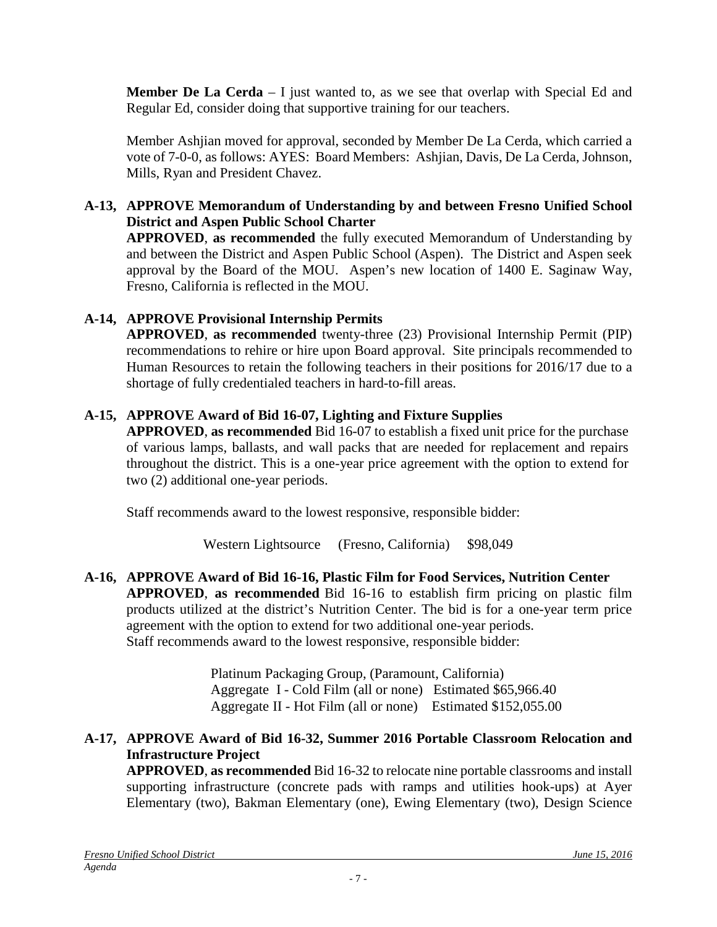**Member De La Cerda** – I just wanted to, as we see that overlap with Special Ed and Regular Ed, consider doing that supportive training for our teachers.

Member Ashjian moved for approval, seconded by Member De La Cerda, which carried a vote of 7-0-0, as follows: AYES: Board Members: Ashjian, Davis, De La Cerda, Johnson, Mills, Ryan and President Chavez.

## **A-13, APPROVE Memorandum of Understanding by and between Fresno Unified School District and Aspen Public School Charter**

**APPROVED**, **as recommended** the fully executed Memorandum of Understanding by and between the District and Aspen Public School (Aspen). The District and Aspen seek approval by the Board of the MOU. Aspen's new location of 1400 E. Saginaw Way, Fresno, California is reflected in the MOU.

# **A-14, APPROVE Provisional Internship Permits**

**APPROVED**, **as recommended** twenty-three (23) Provisional Internship Permit (PIP) recommendations to rehire or hire upon Board approval. Site principals recommended to Human Resources to retain the following teachers in their positions for 2016/17 due to a shortage of fully credentialed teachers in hard-to-fill areas.

## **A-15, APPROVE Award of Bid 16-07, Lighting and Fixture Supplies**

**APPROVED**, **as recommended** Bid 16-07 to establish a fixed unit price for the purchase of various lamps, ballasts, and wall packs that are needed for replacement and repairs throughout the district. This is a one-year price agreement with the option to extend for two (2) additional one-year periods.

Staff recommends award to the lowest responsive, responsible bidder:

Western Lightsource (Fresno, California) \$98,049

**A-16, APPROVE Award of Bid 16-16, Plastic Film for Food Services, Nutrition Center APPROVED**, **as recommended** Bid 16-16 to establish firm pricing on plastic film products utilized at the district's Nutrition Center. The bid is for a one-year term price agreement with the option to extend for two additional one-year periods. Staff recommends award to the lowest responsive, responsible bidder:

> Platinum Packaging Group, (Paramount, California) Aggregate I - Cold Film (all or none) Estimated \$65,966.40 Aggregate II - Hot Film (all or none) Estimated \$152,055.00

## **A-17, APPROVE Award of Bid 16-32, Summer 2016 Portable Classroom Relocation and Infrastructure Project**

**APPROVED**, **as recommended** Bid 16-32 to relocate nine portable classrooms and install supporting infrastructure (concrete pads with ramps and utilities hook-ups) at Ayer Elementary (two), Bakman Elementary (one), Ewing Elementary (two), Design Science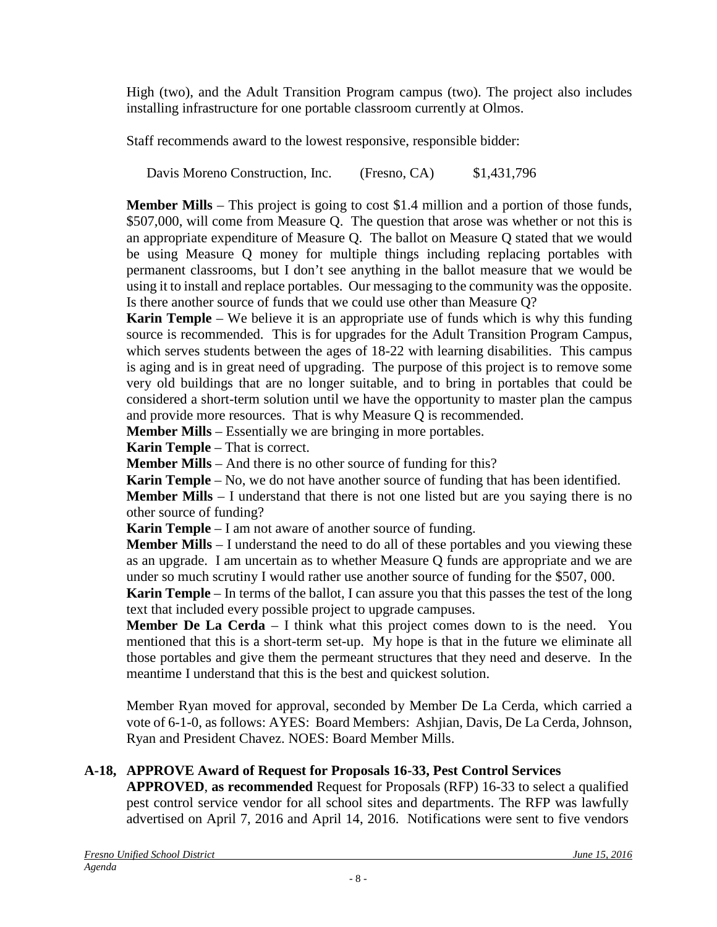High (two), and the Adult Transition Program campus (two). The project also includes installing infrastructure for one portable classroom currently at Olmos.

Staff recommends award to the lowest responsive, responsible bidder:

Davis Moreno Construction, Inc. (Fresno, CA) \$1,431,796

**Member Mills** – This project is going to cost \$1.4 million and a portion of those funds, \$507,000, will come from Measure Q. The question that arose was whether or not this is an appropriate expenditure of Measure Q. The ballot on Measure Q stated that we would be using Measure Q money for multiple things including replacing portables with permanent classrooms, but I don't see anything in the ballot measure that we would be using it to install and replace portables. Our messaging to the community was the opposite. Is there another source of funds that we could use other than Measure Q?

**Karin Temple** – We believe it is an appropriate use of funds which is why this funding source is recommended. This is for upgrades for the Adult Transition Program Campus, which serves students between the ages of 18-22 with learning disabilities. This campus is aging and is in great need of upgrading. The purpose of this project is to remove some very old buildings that are no longer suitable, and to bring in portables that could be considered a short-term solution until we have the opportunity to master plan the campus and provide more resources. That is why Measure Q is recommended.

**Member Mills** – Essentially we are bringing in more portables.

**Karin Temple** – That is correct.

**Member Mills** – And there is no other source of funding for this?

**Karin Temple** – No, we do not have another source of funding that has been identified.

**Member Mills** – I understand that there is not one listed but are you saying there is no other source of funding?

**Karin Temple** – I am not aware of another source of funding.

**Member Mills** – I understand the need to do all of these portables and you viewing these as an upgrade. I am uncertain as to whether Measure Q funds are appropriate and we are under so much scrutiny I would rather use another source of funding for the \$507, 000.

**Karin Temple** – In terms of the ballot, I can assure you that this passes the test of the long text that included every possible project to upgrade campuses.

**Member De La Cerda** – I think what this project comes down to is the need. You mentioned that this is a short-term set-up. My hope is that in the future we eliminate all those portables and give them the permeant structures that they need and deserve. In the meantime I understand that this is the best and quickest solution.

Member Ryan moved for approval, seconded by Member De La Cerda, which carried a vote of 6-1-0, as follows: AYES: Board Members: Ashjian, Davis, De La Cerda, Johnson, Ryan and President Chavez. NOES: Board Member Mills.

# **A-18, APPROVE Award of Request for Proposals 16-33, Pest Control Services**

**APPROVED**, **as recommended** Request for Proposals (RFP) 16-33 to select a qualified pest control service vendor for all school sites and departments. The RFP was lawfully advertised on April 7, 2016 and April 14, 2016. Notifications were sent to five vendors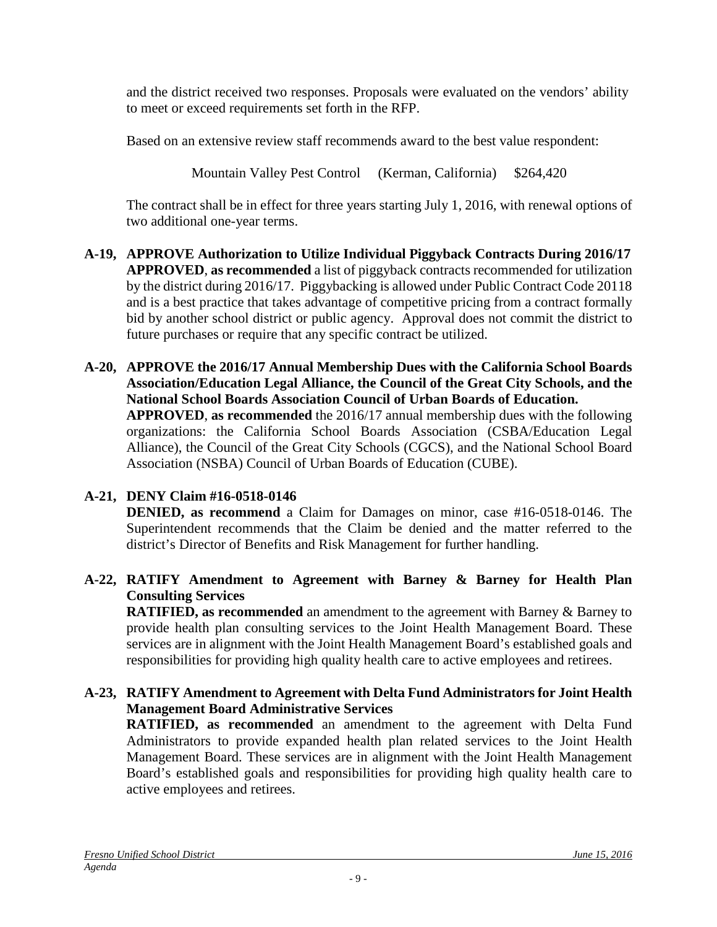and the district received two responses. Proposals were evaluated on the vendors' ability to meet or exceed requirements set forth in the RFP.

Based on an extensive review staff recommends award to the best value respondent:

Mountain Valley Pest Control (Kerman, California) \$264,420

The contract shall be in effect for three years starting July 1, 2016, with renewal options of two additional one-year terms.

- **A-19, APPROVE Authorization to Utilize Individual Piggyback Contracts During 2016/17 APPROVED**, **as recommended** a list of piggyback contracts recommended for utilization by the district during 2016/17. Piggybacking is allowed under Public Contract Code 20118 and is a best practice that takes advantage of competitive pricing from a contract formally bid by another school district or public agency. Approval does not commit the district to future purchases or require that any specific contract be utilized.
- **A-20, APPROVE the 2016/17 Annual Membership Dues with the California School Boards Association/Education Legal Alliance, the Council of the Great City Schools, and the National School Boards Association Council of Urban Boards of Education. APPROVED**, **as recommended** the 2016/17 annual membership dues with the following organizations: the California School Boards Association (CSBA/Education Legal

Alliance), the Council of the Great City Schools (CGCS), and the National School Board Association (NSBA) Council of Urban Boards of Education (CUBE).

# **A-21, DENY Claim #16-0518-0146**

**DENIED, as recommend** a Claim for Damages on minor, case #16-0518-0146. The Superintendent recommends that the Claim be denied and the matter referred to the district's Director of Benefits and Risk Management for further handling.

# **A-22, RATIFY Amendment to Agreement with Barney & Barney for Health Plan Consulting Services**

**RATIFIED, as recommended** an amendment to the agreement with Barney & Barney to provide health plan consulting services to the Joint Health Management Board. These services are in alignment with the Joint Health Management Board's established goals and responsibilities for providing high quality health care to active employees and retirees.

# **A-23, RATIFY Amendment to Agreement with Delta Fund Administrators for Joint Health Management Board Administrative Services**

**RATIFIED, as recommended** an amendment to the agreement with Delta Fund Administrators to provide expanded health plan related services to the Joint Health Management Board. These services are in alignment with the Joint Health Management Board's established goals and responsibilities for providing high quality health care to active employees and retirees.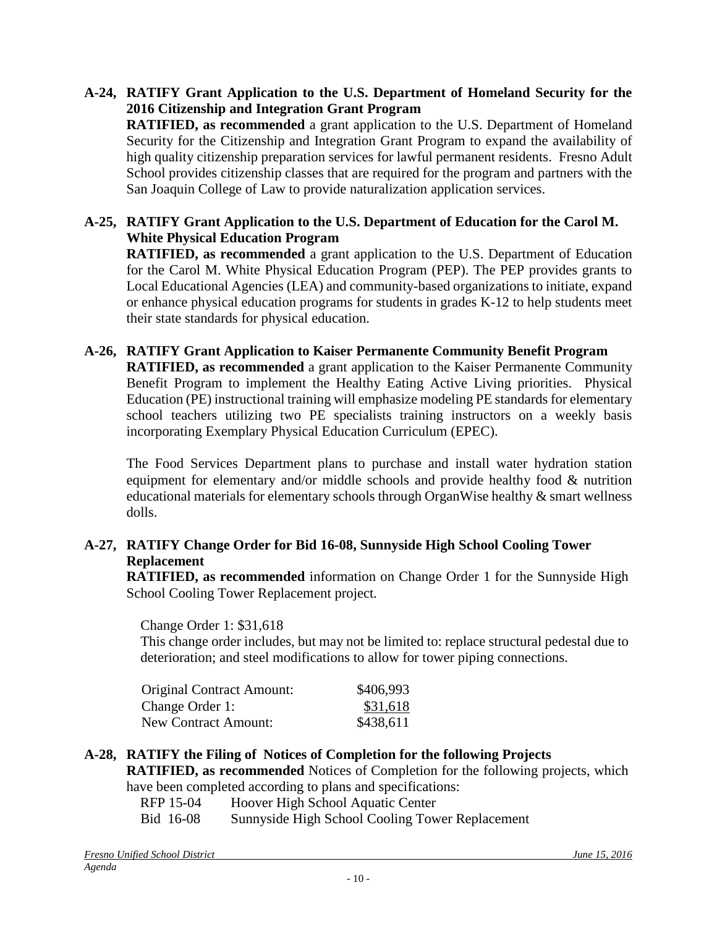- **A-24, RATIFY Grant Application to the U.S. Department of Homeland Security for the 2016 Citizenship and Integration Grant Program RATIFIED, as recommended** a grant application to the U.S. Department of Homeland Security for the Citizenship and Integration Grant Program to expand the availability of high quality citizenship preparation services for lawful permanent residents. Fresno Adult School provides citizenship classes that are required for the program and partners with the
- **A-25, RATIFY Grant Application to the U.S. Department of Education for the Carol M. White Physical Education Program**

San Joaquin College of Law to provide naturalization application services.

**RATIFIED, as recommended** a grant application to the U.S. Department of Education for the Carol M. White Physical Education Program (PEP). The PEP provides grants to Local Educational Agencies (LEA) and community-based organizations to initiate, expand or enhance physical education programs for students in grades K-12 to help students meet their state standards for physical education.

**A-26, RATIFY Grant Application to Kaiser Permanente Community Benefit Program**

**RATIFIED, as recommended** a grant application to the Kaiser Permanente Community Benefit Program to implement the Healthy Eating Active Living priorities. Physical Education (PE) instructional training will emphasize modeling PE standards for elementary school teachers utilizing two PE specialists training instructors on a weekly basis incorporating Exemplary Physical Education Curriculum (EPEC).

The Food Services Department plans to purchase and install water hydration station equipment for elementary and/or middle schools and provide healthy food & nutrition educational materials for elementary schools through OrganWise healthy & smart wellness dolls.

### **A-27, RATIFY Change Order for Bid 16-08, Sunnyside High School Cooling Tower Replacement**

**RATIFIED, as recommended** information on Change Order 1 for the Sunnyside High School Cooling Tower Replacement project*.*

Change Order 1: \$31,618

This change order includes, but may not be limited to: replace structural pedestal due to deterioration; and steel modifications to allow for tower piping connections.

| <b>Original Contract Amount:</b> | \$406,993 |
|----------------------------------|-----------|
| Change Order 1:                  | \$31,618  |
| <b>New Contract Amount:</b>      | \$438,611 |

## **A-28, RATIFY the Filing of Notices of Completion for the following Projects**

**RATIFIED, as recommended** Notices of Completion for the following projects, which have been completed according to plans and specifications:

RFP 15-04 Hoover High School Aquatic Center

Bid 16-08 Sunnyside High School Cooling Tower Replacement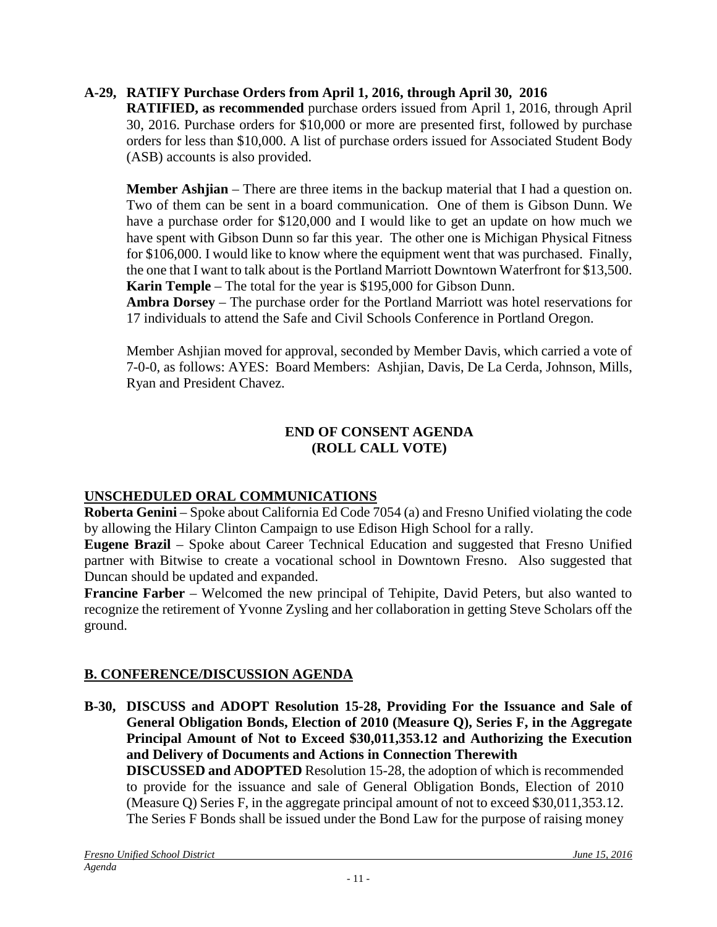## **A-29, RATIFY Purchase Orders from April 1, 2016, through April 30, 2016**

**RATIFIED, as recommended** purchase orders issued from April 1, 2016, through April 30, 2016. Purchase orders for \$10,000 or more are presented first, followed by purchase orders for less than \$10,000. A list of purchase orders issued for Associated Student Body (ASB) accounts is also provided.

**Member Ashjian** – There are three items in the backup material that I had a question on. Two of them can be sent in a board communication. One of them is Gibson Dunn. We have a purchase order for \$120,000 and I would like to get an update on how much we have spent with Gibson Dunn so far this year. The other one is Michigan Physical Fitness for \$106,000. I would like to know where the equipment went that was purchased. Finally, the one that I want to talk about is the Portland Marriott Downtown Waterfront for \$13,500. **Karin Temple** – The total for the year is \$195,000 for Gibson Dunn.

**Ambra Dorsey** – The purchase order for the Portland Marriott was hotel reservations for 17 individuals to attend the Safe and Civil Schools Conference in Portland Oregon.

Member Ashjian moved for approval, seconded by Member Davis, which carried a vote of 7-0-0, as follows: AYES: Board Members: Ashjian, Davis, De La Cerda, Johnson, Mills, Ryan and President Chavez.

## **END OF CONSENT AGENDA (ROLL CALL VOTE)**

# **UNSCHEDULED ORAL COMMUNICATIONS**

**Roberta Genini** – Spoke about California Ed Code 7054 (a) and Fresno Unified violating the code by allowing the Hilary Clinton Campaign to use Edison High School for a rally.

**Eugene Brazil** – Spoke about Career Technical Education and suggested that Fresno Unified partner with Bitwise to create a vocational school in Downtown Fresno. Also suggested that Duncan should be updated and expanded.

**Francine Farber** – Welcomed the new principal of Tehipite, David Peters, but also wanted to recognize the retirement of Yvonne Zysling and her collaboration in getting Steve Scholars off the ground.

# **B. CONFERENCE/DISCUSSION AGENDA**

**B-30, DISCUSS and ADOPT Resolution 15-28, Providing For the Issuance and Sale of General Obligation Bonds, Election of 2010 (Measure Q), Series F, in the Aggregate Principal Amount of Not to Exceed \$30,011,353.12 and Authorizing the Execution and Delivery of Documents and Actions in Connection Therewith**

**DISCUSSED and ADOPTED** Resolution 15-28, the adoption of which is recommended to provide for the issuance and sale of General Obligation Bonds, Election of 2010 (Measure Q) Series F, in the aggregate principal amount of not to exceed \$30,011,353.12. The Series F Bonds shall be issued under the Bond Law for the purpose of raising money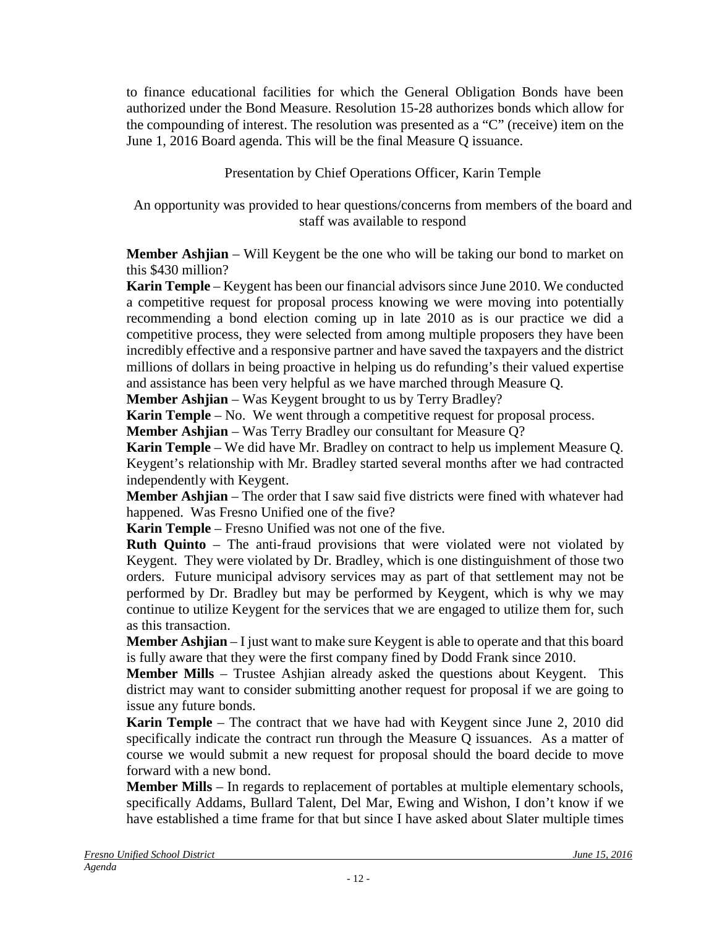to finance educational facilities for which the General Obligation Bonds have been authorized under the Bond Measure. Resolution 15-28 authorizes bonds which allow for the compounding of interest. The resolution was presented as a "C" (receive) item on the June 1, 2016 Board agenda. This will be the final Measure Q issuance.

Presentation by Chief Operations Officer, Karin Temple

An opportunity was provided to hear questions/concerns from members of the board and staff was available to respond

**Member Ashjian** – Will Keygent be the one who will be taking our bond to market on this \$430 million?

**Karin Temple** – Keygent has been our financial advisors since June 2010. We conducted a competitive request for proposal process knowing we were moving into potentially recommending a bond election coming up in late 2010 as is our practice we did a competitive process, they were selected from among multiple proposers they have been incredibly effective and a responsive partner and have saved the taxpayers and the district millions of dollars in being proactive in helping us do refunding's their valued expertise and assistance has been very helpful as we have marched through Measure Q.

**Member Ashjian** – Was Keygent brought to us by Terry Bradley?

**Karin Temple** – No. We went through a competitive request for proposal process.

**Member Ashjian** – Was Terry Bradley our consultant for Measure Q?

**Karin Temple** – We did have Mr. Bradley on contract to help us implement Measure Q. Keygent's relationship with Mr. Bradley started several months after we had contracted independently with Keygent.

**Member Ashjian** – The order that I saw said five districts were fined with whatever had happened. Was Fresno Unified one of the five?

**Karin Temple** – Fresno Unified was not one of the five.

**Ruth Quinto** – The anti-fraud provisions that were violated were not violated by Keygent. They were violated by Dr. Bradley, which is one distinguishment of those two orders. Future municipal advisory services may as part of that settlement may not be performed by Dr. Bradley but may be performed by Keygent, which is why we may continue to utilize Keygent for the services that we are engaged to utilize them for, such as this transaction.

**Member Ashjian** – I just want to make sure Keygent is able to operate and that this board is fully aware that they were the first company fined by Dodd Frank since 2010.

**Member Mills** – Trustee Ashjian already asked the questions about Keygent. This district may want to consider submitting another request for proposal if we are going to issue any future bonds.

**Karin Temple** – The contract that we have had with Keygent since June 2, 2010 did specifically indicate the contract run through the Measure Q issuances. As a matter of course we would submit a new request for proposal should the board decide to move forward with a new bond.

**Member Mills** – In regards to replacement of portables at multiple elementary schools, specifically Addams, Bullard Talent, Del Mar, Ewing and Wishon, I don't know if we have established a time frame for that but since I have asked about Slater multiple times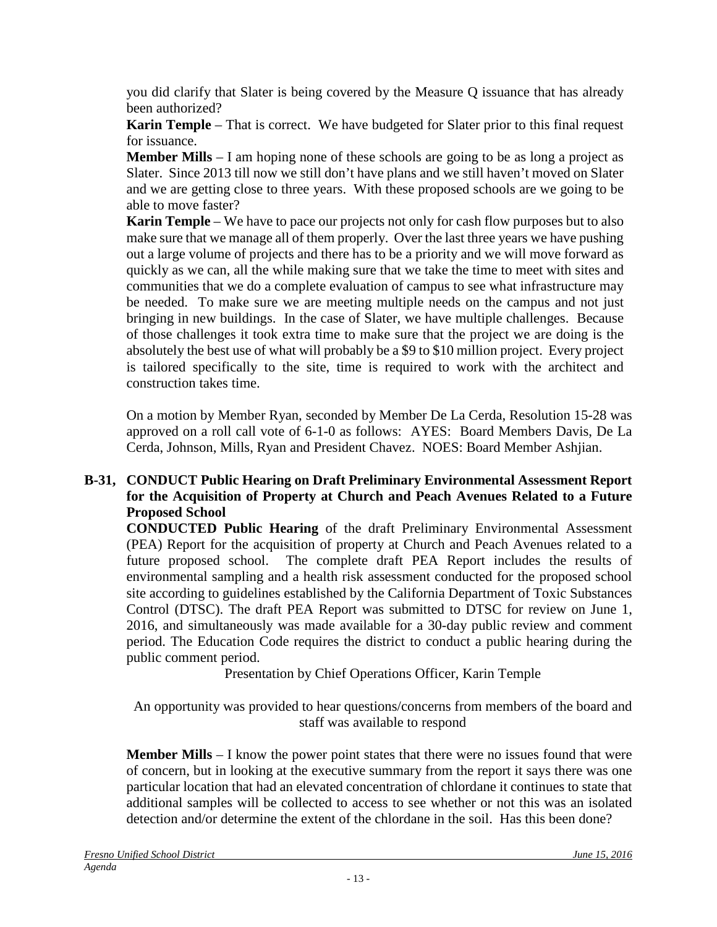you did clarify that Slater is being covered by the Measure Q issuance that has already been authorized?

**Karin Temple** – That is correct. We have budgeted for Slater prior to this final request for issuance.

**Member Mills** – I am hoping none of these schools are going to be as long a project as Slater. Since 2013 till now we still don't have plans and we still haven't moved on Slater and we are getting close to three years. With these proposed schools are we going to be able to move faster?

**Karin Temple** – We have to pace our projects not only for cash flow purposes but to also make sure that we manage all of them properly. Over the last three years we have pushing out a large volume of projects and there has to be a priority and we will move forward as quickly as we can, all the while making sure that we take the time to meet with sites and communities that we do a complete evaluation of campus to see what infrastructure may be needed. To make sure we are meeting multiple needs on the campus and not just bringing in new buildings. In the case of Slater, we have multiple challenges. Because of those challenges it took extra time to make sure that the project we are doing is the absolutely the best use of what will probably be a \$9 to \$10 million project. Every project is tailored specifically to the site, time is required to work with the architect and construction takes time.

On a motion by Member Ryan, seconded by Member De La Cerda, Resolution 15-28 was approved on a roll call vote of 6-1-0 as follows: AYES: Board Members Davis, De La Cerda, Johnson, Mills, Ryan and President Chavez. NOES: Board Member Ashjian.

## **B-31, CONDUCT Public Hearing on Draft Preliminary Environmental Assessment Report for the Acquisition of Property at Church and Peach Avenues Related to a Future Proposed School**

**CONDUCTED Public Hearing** of the draft Preliminary Environmental Assessment (PEA) Report for the acquisition of property at Church and Peach Avenues related to a future proposed school. The complete draft PEA Report includes the results of environmental sampling and a health risk assessment conducted for the proposed school site according to guidelines established by the California Department of Toxic Substances Control (DTSC). The draft PEA Report was submitted to DTSC for review on June 1, 2016, and simultaneously was made available for a 30-day public review and comment period. The Education Code requires the district to conduct a public hearing during the public comment period.

Presentation by Chief Operations Officer, Karin Temple

An opportunity was provided to hear questions/concerns from members of the board and staff was available to respond

**Member Mills** – I know the power point states that there were no issues found that were of concern, but in looking at the executive summary from the report it says there was one particular location that had an elevated concentration of chlordane it continues to state that additional samples will be collected to access to see whether or not this was an isolated detection and/or determine the extent of the chlordane in the soil. Has this been done?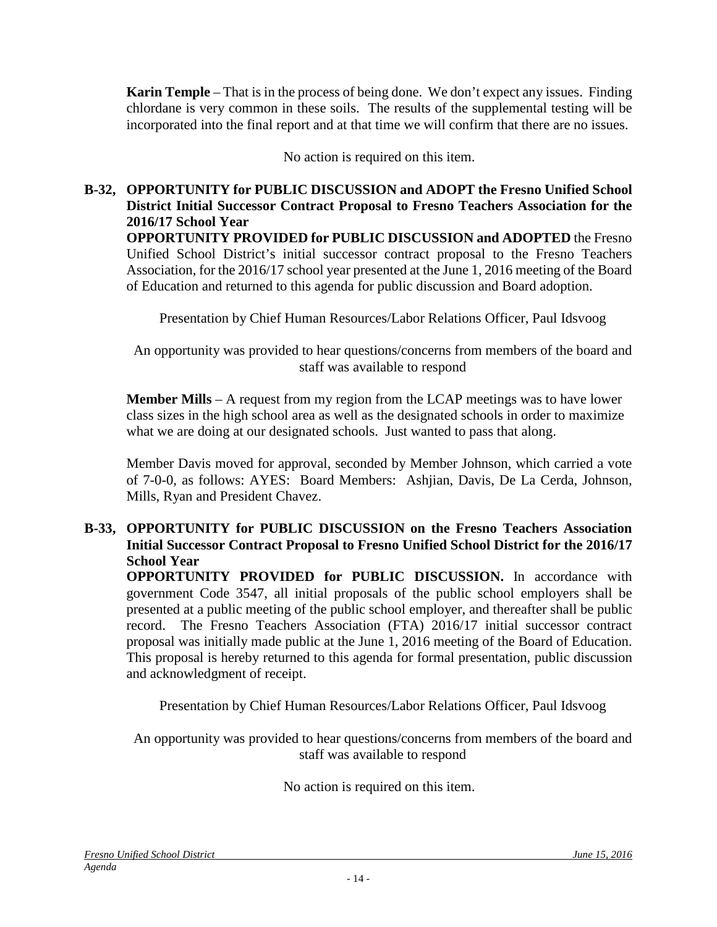**Karin Temple** – That is in the process of being done. We don't expect any issues. Finding chlordane is very common in these soils. The results of the supplemental testing will be incorporated into the final report and at that time we will confirm that there are no issues.

No action is required on this item.

### **B-32, OPPORTUNITY for PUBLIC DISCUSSION and ADOPT the Fresno Unified School District Initial Successor Contract Proposal to Fresno Teachers Association for the 2016/17 School Year OPPORTUNITY PROVIDED for PUBLIC DISCUSSION and ADOPTED** the Fresno Unified School District's initial successor contract proposal to the Fresno Teachers Association, for the 2016/17 school year presented at the June 1, 2016 meeting of the Board

of Education and returned to this agenda for public discussion and Board adoption.

Presentation by Chief Human Resources/Labor Relations Officer, Paul Idsvoog

An opportunity was provided to hear questions/concerns from members of the board and staff was available to respond

**Member Mills** – A request from my region from the LCAP meetings was to have lower class sizes in the high school area as well as the designated schools in order to maximize what we are doing at our designated schools. Just wanted to pass that along.

Member Davis moved for approval, seconded by Member Johnson, which carried a vote of 7-0-0, as follows: AYES: Board Members: Ashjian, Davis, De La Cerda, Johnson, Mills, Ryan and President Chavez.

### **B-33, OPPORTUNITY for PUBLIC DISCUSSION on the Fresno Teachers Association Initial Successor Contract Proposal to Fresno Unified School District for the 2016/17 School Year**

**OPPORTUNITY PROVIDED for PUBLIC DISCUSSION.** In accordance with government Code 3547, all initial proposals of the public school employers shall be presented at a public meeting of the public school employer, and thereafter shall be public record. The Fresno Teachers Association (FTA) 2016/17 initial successor contract proposal was initially made public at the June 1, 2016 meeting of the Board of Education. This proposal is hereby returned to this agenda for formal presentation, public discussion and acknowledgment of receipt.

Presentation by Chief Human Resources/Labor Relations Officer, Paul Idsvoog

An opportunity was provided to hear questions/concerns from members of the board and staff was available to respond

No action is required on this item.